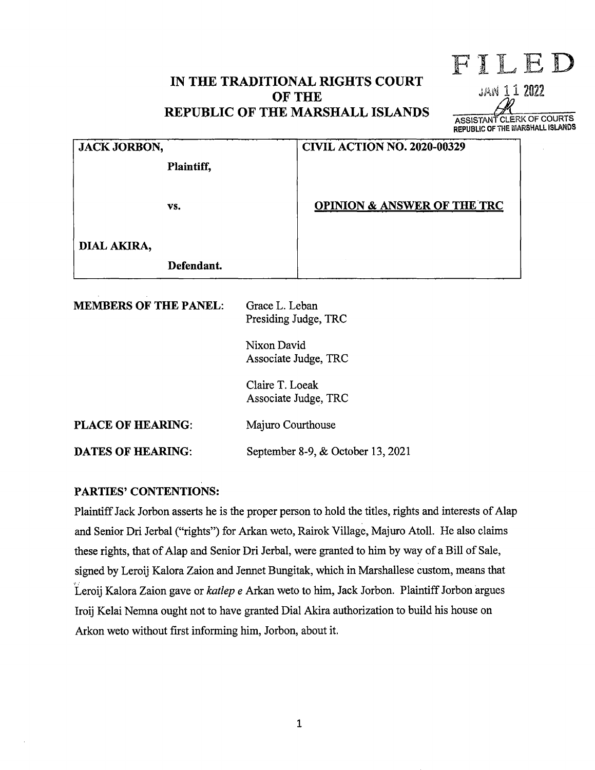# **IN THE TRADITIONAL RIGHTS COURT OF THE REPUBLIC OF THE MARSHALL ISLANDS**

**ASSISTANT CLERK OF COURTS REPUBLIC OF THE** MARSHALL **ISLANDS** 

FILED

JAN 11 2022

|                              |                                        | <b>ASSISTAIRT OFFI</b><br><b>REPUBLIC OF THE NIA</b> |
|------------------------------|----------------------------------------|------------------------------------------------------|
| <b>JACK JORBON,</b>          |                                        | <b>CIVIL ACTION NO. 2020-00329</b>                   |
| Plaintiff,                   |                                        |                                                      |
| VS.                          |                                        | <b>OPINION &amp; ANSWER OF THE TRC</b>               |
| DIAL AKIRA,                  |                                        |                                                      |
| Defendant.                   |                                        |                                                      |
| <b>MEMBERS OF THE PANEL:</b> | Grace L. Leban<br>Presiding Judge, TRC |                                                      |
|                              | Nixon David<br>Associate Judge, TRC    |                                                      |
|                              | Claire T. Loeak                        | Associate Judge, TRC                                 |

**PLACE OF HEARING:**  Majuro Courthouse

**DATES OF HEARING:**  September 8-9, & October 13, 2021

# **PARTIES' CONTENTIONS:**

Plaintiff Jack Jorbon asserts he is the proper person to hold the titles, rights and interests of Alap and Senior Dri Jerbal ("rights") for Arkan weto, Rairok Village, Majuro Atoll. He also claims these rights, that of Alap and Senior Dri Jerbal, were granted to him by way of a Bill of Sale, signed by Leroij Kalora Zaion and Jennet Bungitak, which in Marshallese custom, means that Leroij Kalora Zaion gave or *katlep e* Arkan weto to him, Jack Jorbon. Plaintiff Jorbon argues Iroij Kelai Nemna ought not to have granted Dial Akira authorization to build his house on Arkon weto without first informing him, Jorbon, about it.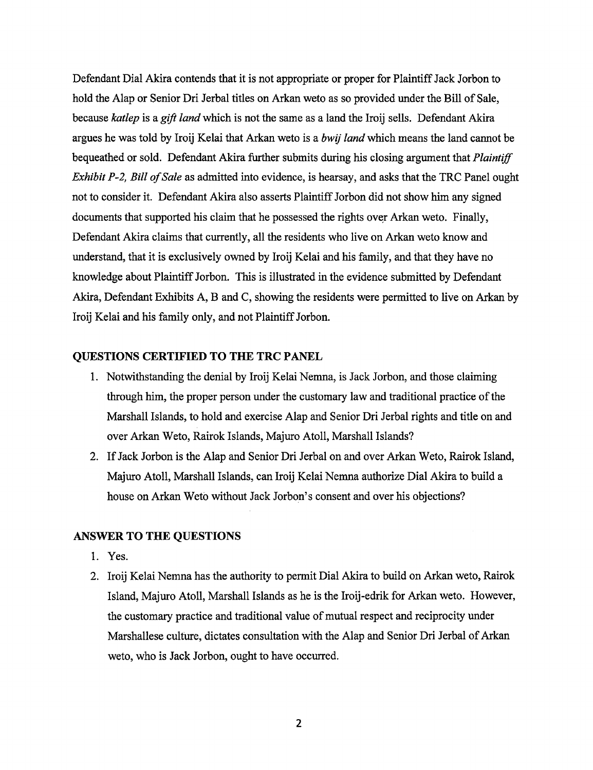Defendant Dial Akira contends that it is not appropriate or proper for Plaintiff Jack Jorbon to hold the Alap or Senior Dri Jerbal titles on Arkan weto as so provided under the Bill of Sale, because *katlep* is a *gift land* which is not the same as a land the Iroij sells. Defendant Akira argues he was told by Iroij Kelai that Arkan weto is a *bwij land* which means the land cannot be bequeathed or sold. Defendant Akira further submits during his closing argument that *Plaintiff Exhibit P-2, Bill of Sale* as admitted into evidence, is hearsay, and asks that the TRC Panel ought not to consider it. Defendant Akira also asserts Plaintiff Jorbon did not show him any signed documents that supported his claim that he possessed the rights over Arkan weto. Finally, Defendant Akira claims that currently, all the residents who live on Arkan weto know and understand, that it is exclusively owned by Iroij Kelai and his family, and that they have no knowledge about Plaintiff Jorbon. This is illustrated in the evidence submitted by Defendant Akira, Defendant Exhibits A, B and C, showing the residents were permitted to live on Arkan by Iroij Kelai and his family only, and not Plaintiff Jorbon.

#### **QUESTIONS CERTIFIED TO THE TRC PANEL**

- 1. Notwithstanding the denial by Iroij Kelai Nemna, is Jack Jorbon, and those claiming through him, the proper person under the customary law and traditional practice of the Marshall Islands, to hold and exercise Alap and Senior Dri Jerbal rights and title on and over Arkan Weto, Rairok Islands, Majuro Atoll, Marshall Islands?
- 2. If Jack Jorbon is the Alap and Senior Dri Jerbal on and over Arkan Weto, Rairok Island, Majuro Atoll, Marshall Islands, can Iroij Kelai Nemna authorize Dial Akira to build a house on Arkan Weto without Jack Jorbon's consent and over his objections?

#### **ANSWER TO THE QUESTIONS**

- 1. Yes.
- 2. Iroij Kelai Nemna has the authority to permit Dial Akira to build on Arkan weto, Rairok Island, Majuro Atoll, Marshall Islands as he is the Iroij-edrik for Arkan weto. However, the customary practice and traditional value of mutual respect and reciprocity under Marshallese culture, dictates consultation with the Alap and Senior Dri Jerbal of Arkan weto, who is Jack Jorbon, ought to have occurred.

2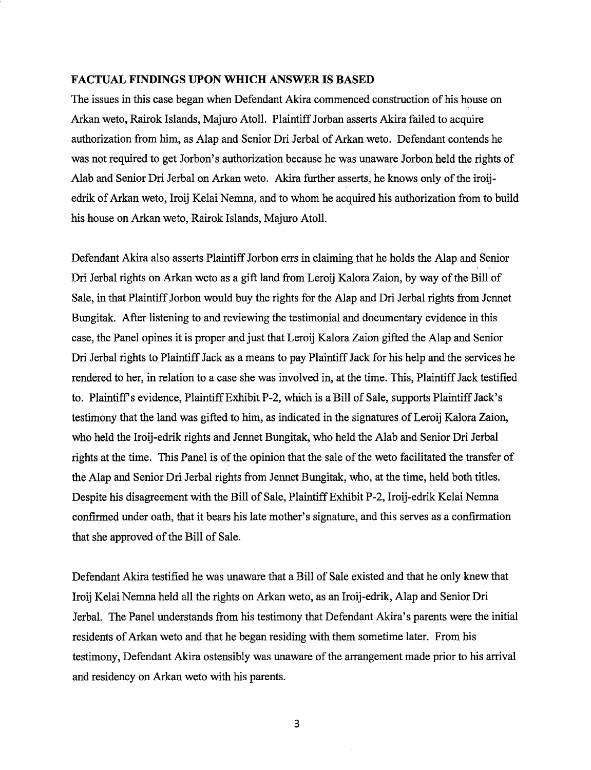#### **FACTUAL FINDINGS UPON WHICH ANSWER IS BASED**

The issues in this case began when Defendant Akira commenced construction of his house on Arkan weto, Rairok Islands, Majuro Atoll. Plaintiff Jorban asserts Akira failed to acquire authorization from him, as Alap and Senior Ori Jerbal of Arkan weto. Defendant contends he was not required to get Jorbon's authorization because he was unaware Jorbon held the rights of Alab and Senior Ori Jerbal on Arkan weto. Akira further asserts, he knows only of the iroijedrik of Arkan weto, Iroij Kelai Nemna, and to whom he acquired his authorization from to build his house on Arkan weto, Rairok Islands, Majuro Atoll.

Defendant Akira also asserts Plaintiff Jorbon errs in claiming that he holds the Alap and Senior Ori Jerbal rights on Arkan weto as a gift land from Leroij Kalora Zaion, by way of the Bill of Sale, in that Plaintiff Jorbon would buy the rights for the Alap and Ori Jerbal rights from Jennet Bungitak. After listening to and reviewing the testimonial and documentary evidence in this case, the Panel opines it is proper and just that Leroij Kalora Zaion gifted the Alap and Senior Ori Jerbal rights to Plaintiff Jack as a means to pay Plaintiff Jack for his help and the services he rendered to her, in relation to a case she was involved in, at the time. This, Plaintiff Jack testified to. Plaintiffs evidence, Plaintiff Exhibit P-2, which is a Bill of Sale, supports Plaintiff Jack's testimony that the land was gifted to him, as indicated in the signatures of Leroij Kalora Zaion, who held the Iroij-edrik rights and Jennet Bungitak, who held the Alab and Senior Ori Jerbal rights at the time. This Panel is of the opinion that the sale of the weto facilitated the transfer of the Alap and Senior Dri Jerbal rights from Jennet Bungitak, who, at the time, held both titles. Despite his disagreement with the Bill of Sale, Plaintiff Exhibit P-2, Iroij-edrik Kelai Nemna confirmed under oath, that it bears his late mother's signature, and this serves as a confirmation that she approved of the Bill of Sale.

Defendant Akira testified he was unaware that a Bill of Sale existed and that he only knew that Iroij Kelai Nemna held all the rights on Arkan weto, as an Iroij-edrik, Alap and Senior Dri Jerbal. The Panel understands from his testimony that Defendant Akira's parents were the initial residents of Arkan weto and that he began residing with them sometime later. From his testimony, Defendant Akira ostensibly was unaware of the arrangement made prior to his arrival and residency on Arkan weto with his parents.

3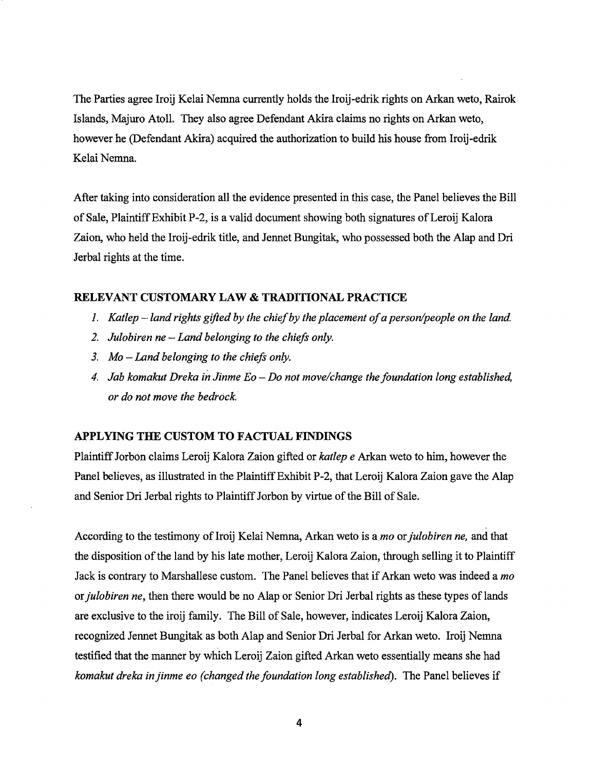The Parties agree Iroij Kelai Nemna currently holds the Iroij-edrik rights on Arkan weto, Rairok Islands, Majuro Atoll. They also agree Defendant Akira claims no rights on Arkan weto, however he (Defendant Akira) acquired the authorization to build his house from Iroij-edrik Kelai Nemna.

After taking into consideration all the evidence presented in this case, the Panel believes the Bill of Sale, Plaintiff Exhibit P-2, is a valid document showing both signatures of Leroij Kalora Zaion, who held the Iroij-edrik title, and Jennet Bungitak, who possessed both the Alap and Ori Jerbal rights at the time.

#### **RELEVANT CUSTOMARY LAW** & **TRADITIONAL PRACTICE**

- *1. Katlep-land rights gifted by the chief by the placement of a person/people on the land*
- 2. *Julobiren ne Land belonging to the chiefs only.*
- *3. Mo Land belonging to the chiefs only.*
- *4. Jab komakut Dreka in Jinme Eo Do not move/change the foundation long established, or do not move the bedrock.·*

#### **APPL YING THE CUSTOM TO FACTUAL FINDINGS**

Plaintiff Jorbon claims Leroij Kalora Zaion gifted or *katlep e* Arkan weto to him, however the Panel believes, as illustrated in the Plaintiff Exhibit P-2, that Leroij Kalora Zaion gave the Alap and Senior Ori Jerbal rights to Plaintiff Jorbon by virtue of the Bill of Sale.

According to the testimony of Iroij Kelai Nemna, Arkan weto is a *mo* or *julobiren ne*, and that the disposition of the land by his late mother, Leroij Kalora Zaion, through selling it to Plaintiff Jack is contrary to Marshallese custom. The Panel believes that if Arkan weto was indeed a *mo or julobiren ne*, then there would be no Alap or Senior Dri Jerbal rights as these types of lands are exclusive to the iroij family. The Bill of Sale, however, indicates Leroij Kalora Zaion, recognized Jennet Bungitak as both Alap and Senior Ori Jerbal for Arkan weto. Iroij Nemna testified that the manner by which Leroij Zaion gifted Arkan weto essentially means she had *komakut dreka in jinme eo (changed the foundation long established).* The Panel believes if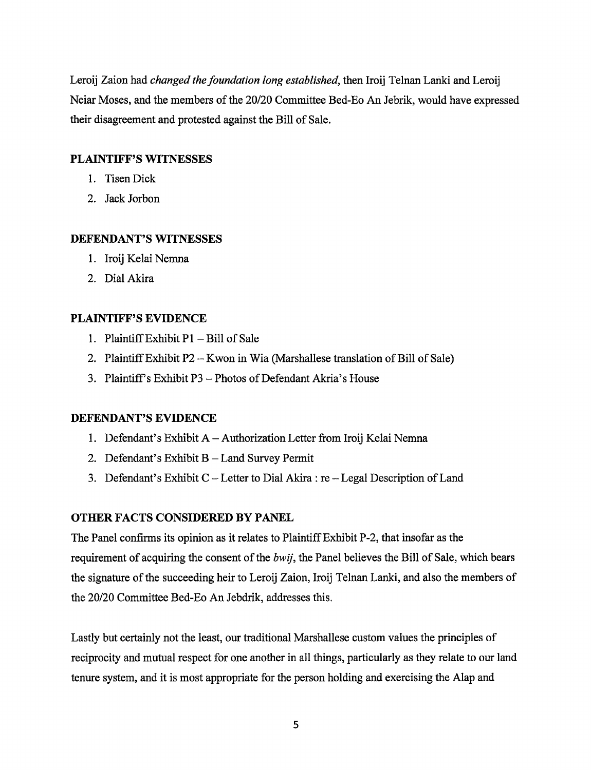Leroij Zaion had *changed the foundation long established,* then Iroij Telnan Lanki and Leroij Neiar Moses, and the members of the 20/20 Committee Bed-Eo An Jebrik, would have expressed their disagreement and protested against the Bill of Sale.

### **PLAINTIFF'S WITNESSES**

- I. Tisen Dick
- 2. Jack Jorbon

### **DEFENDANT'S WITNESSES**

- I. Iroij Kelai Nemna
- 2. Dial Akira

## **PLAINTIFF'S EVIDENCE**

- 1. Plaintiff Exhibit  $P1 Bill$  of Sale
- 2. Plaintiff Exhibit P2 Kwon in Wia (Marshallese translation of Bill of Sale)
- 3. Plaintiff's Exhibit P3 Photos of Defendant Akria's House

## **DEFENDANT'S EVIDENCE**

- 1. Defendant's Exhibit A-Authorization Letter from Iroij Kelai Nemna
- 2. Defendant's Exhibit B Land Survey Permit
- 3. Defendant's Exhibit C-Letter to Dial Akira: re-Legal Description of Land

### **OTHER FACTS CONSIDERED BY PANEL**

The Panel confirms its opinion as it relates to Plaintiff Exhibit P-2, that insofar as the requirement of acquiring the consent of the *bwij,* the Panel believes the Bill of Sale, which bears the signature of the succeeding heir to Leroij Zaion, Iroij Telnan Lanki, and also the members of the 20/20 Committee Bed-Eo An Jebdrik, addresses this.

Lastly but certainly not the least, our traditional Marshallese custom values the principles of reciprocity and mutual respect for one another in all things, particularly as they relate to our land tenure system, and it is most appropriate for the person holding and exercising the Alap and